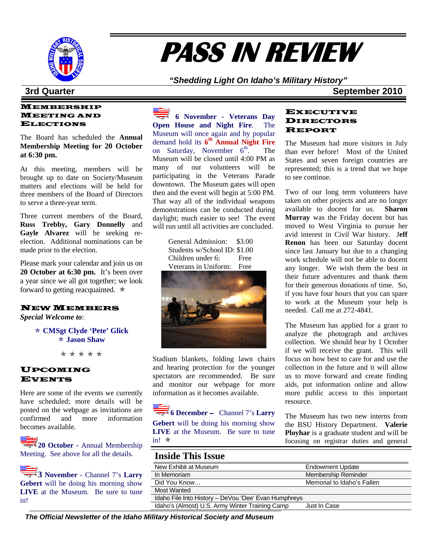

# **PASS IN REVIEW**

*"Shedding Light On Idaho's Military History"* 

### **3rd Quarter September 2010**

#### MEMBERSHIP MEETING AND ELECTIONS

The Board has scheduled the **Annual Membership Meeting for 20 October at 6:30 pm.** 

At this meeting, members will be brought up to date on Society/Museum matters and elections will be held for three members of the Board of Directors to serve a three-year term.

Three current members of the Board, **Russ Trebby, Gary Donnelly** and Gayle Alvarez will be seeking reelection. Additional nominations can be made prior to the election.

Please mark your calendar and join us on **20 October at 6:30 pm.** It's been over a year since we all got together; we look forward to getting reacquainted.  $\star$ 

#### NEW MEMBERS

*Special Welcome to*:

Õ **CMSgt Clyde 'Pete' Glick**  Õ **Jason Shaw**

Õ Õ Õ Õ Õ

#### UPCOMING EVENTS

Here are some of the events we currently have scheduled; more details will be posted on the webpage as invitations are confirmed and more information becomes available.

20 October - Annual Membership Meeting.See above for all the details.

**3 November** - Channel 7's **Larry Gebert** will be doing his morning show **LIVE** at the Museum. Be sure to tune in!

**6 November - Veterans Day Open House and Night Fire**. The Museum will once again and by popular demand hold its **6th Annual Night Fire**  on Saturday, November  $6^{th}$ . The Museum will be closed until 4:00 PM as many of our volunteers will be participating in the Veterans Parade downtown. The Museum gates will open then and the event will begin at 5:00 PM. That way all of the individual weapons demonstrations can be conducted during daylight; much easier to see! The event will run until all activities are concluded.

| General Admission:           | \$3.00 |
|------------------------------|--------|
| Students w/School ID: \$1.00 |        |
| Children under 6:            | Free   |
| Veterans in Uniform:         | Free   |
|                              |        |



Stadium blankets, folding lawn chairs and hearing protection for the younger spectators are recommended. Be sure and monitor our webpage for more information as it becomes available.

**6 December** – Channel 7's **Larry Gebert** will be doing his morning show **LIVE** at the Museum. Be sure to tune in!  $*$ 

#### EXECUTIVE DIRECTORS REPORT

The Museum had more visitors in July than ever before! Most of the United States and seven foreign countries are represented; this is a trend that we hope to see continue.

Two of our long term volunteers have taken on other projects and are no longer available to docent for us. **Sharon Murray** was the Friday docent but has moved to West Virginia to pursue her avid interest in Civil War history. J**eff Renon** has been our Saturday docent since last January but due to a changing work schedule will not be able to docent any longer. We wish them the best in their future adventures and thank them for their generous donations of time. So, if you have four hours that you can spare to work at the Museum your help is needed. Call me at 272-4841.

The Museum has applied for a grant to analyze the photograph and archives collection. We should hear by 1 October if we will receive the grant. This will focus on how best to care for and use the collection in the future and it will allow us to move forward and create finding aids, put information online and allow more public access to this important resource.

The Museum has two new interns from the BSU History Department. **Valerie Ployhar** is a graduate student and will be focusing on registrar duties and general

### **Inside This Issue**

| New Exhibit at Museum                                | <b>Endowment Update</b>    |
|------------------------------------------------------|----------------------------|
| In Memoriam                                          | Membership Reminder        |
| Did You Know                                         | Memorial to Idaho's Fallen |
| Most Wanted                                          |                            |
| Idaho File Into History - DeVou 'Dee' Evan Humphreys |                            |
| Idaho's (Almost) U.S. Army Winter Training Camp      | Just In Case               |

*The Official Newsletter of the Idaho Military Historical Society and Museum*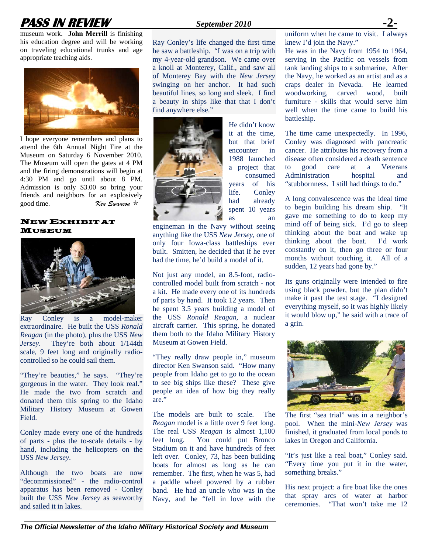## **PASS IN REVIEW** *September 2010*

museum work. **John Merrill** is finishing his education degree and will be working on traveling educational trunks and age appropriate teaching aids.



I hope everyone remembers and plans to attend the 6th Annual Night Fire at the Museum on Saturday 6 November 2010. The Museum will open the gates at 4 PM and the firing demonstrations will begin at 4:30 PM and go until about 8 PM. Admission is only \$3.00 so bring your friends and neighbors for an explosively good time. *Ken Swanson* 

#### NEW EXHIBIT AT MUSEUM



Ray Conley is a model-maker extraordinaire. He built the USS *Ronald Reagan* (in the photo), plus the USS *New Jersey*. They're both about 1/144th scale, 9 feet long and originally radiocontrolled so he could sail them.

"They're beauties," he says. "They're gorgeous in the water. They look real." He made the two from scratch and donated them this spring to the Idaho Military History Museum at Gowen **Field** 

Conley made every one of the hundreds of parts - plus the to-scale details - by hand, including the helicopters on the USS *New Jersey*.

Although the two boats are now "decommissioned" - the radio-control apparatus has been removed - Conley built the USS *New Jersey* as seaworthy and sailed it in lakes.

Ray Conley's life changed the first time he saw a battleship. "I was on a trip with my 4-year-old grandson. We came over a knoll at Monterey, Calif., and saw all of Monterey Bay with the *New Jersey* swinging on her anchor. It had such beautiful lines, so long and sleek. I find a beauty in ships like that that I don't find anywhere else."



He didn't know it at the time, but that brief encounter in 1988 launched a project that consumed years of his life. Conley had already spent 10 years as an

engineman in the Navy without seeing anything like the USS *New Jersey*, one of only four Iowa-class battleships ever built. Smitten, he decided that if he ever had the time, he'd build a model of it.

Not just any model, an 8.5-foot, radiocontrolled model built from scratch - not a kit. He made every one of its hundreds of parts by hand. It took 12 years. Then he spent 3.5 years building a model of the USS *Ronald Reagan*, a nuclear aircraft carrier. This spring, he donated them both to the Idaho Military History Museum at Gowen Field.

"They really draw people in," museum director Ken Swanson said. "How many people from Idaho get to go to the ocean to see big ships like these? These give people an idea of how big they really are."

The models are built to scale. The *Reagan* model is a little over 9 feet long. The real USS *Reagan* is almost 1,100 feet long. You could put Bronco Stadium on it and have hundreds of feet left over. Conley, 73, has been building boats for almost as long as he can remember. The first, when he was 5, had a paddle wheel powered by a rubber band. He had an uncle who was in the Navy, and he "fell in love with the

uniform when he came to visit. I always knew I'd join the Navy."

He was in the Navy from 1954 to 1964, serving in the Pacific on vessels from tank landing ships to a submarine. After the Navy, he worked as an artist and as a craps dealer in Nevada. He learned woodworking, carved wood, built furniture - skills that would serve him well when the time came to build his battleship.

The time came unexpectedly. In 1996, Conley was diagnosed with pancreatic cancer. He attributes his recovery from a disease often considered a death sentence to good care at a Veterans Administration hospital and "stubbornness. I still had things to do."

A long convalescence was the ideal time to begin building his dream ship. "It gave me something to do to keep my mind off of being sick. I'd go to sleep thinking about the boat and wake up thinking about the boat. I'd work constantly on it, then go three or four months without touching it. All of a sudden, 12 years had gone by."

Its guns originally were intended to fire using black powder, but the plan didn't make it past the test stage. "I designed everything myself, so it was highly likely it would blow up," he said with a trace of a grin.



The first "sea trial" was in a neighbor's pool. When the mini-*New Jersey* was finished, it graduated from local ponds to lakes in Oregon and California.

"It's just like a real boat," Conley said. "Every time you put it in the water, something breaks."

His next project: a fire boat like the ones that spray arcs of water at harbor ceremonies. "That won't take me 12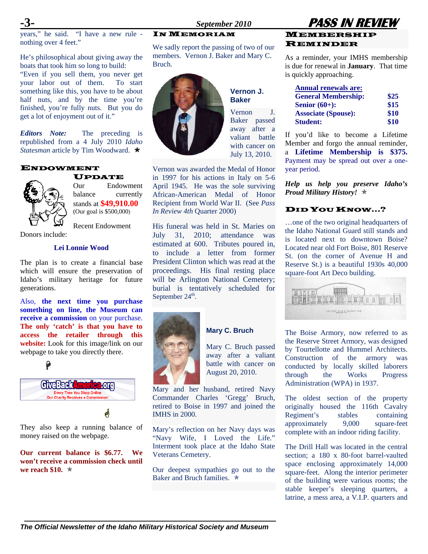years," he said. "I have a new rule nothing over 4 feet."

He's philosophical about giving away the boats that took him so long to build: "Even if you sell them, you never get your labor out of them. To start something like this, you have to be about half nuts, and by the time you're finished, you're fully nuts. But you do get a lot of enjoyment out of it."

*Editors Note:* The preceding is republished from a 4 July 2010 *Idaho Statesman* article by Tim Woodward.Õ

#### ENDOWMENT



Our Endowment balance currently stands at **\$49,910.00** (Our goal is \$500,000)

UPDATE

Recent Endowment

#### Donors include:

#### **Lei Lonnie Wood**

The plan is to create a financial base which will ensure the preservation of Idaho's military heritage for future generations.

Also, **the next time you purchase something on line, the Museum can receive a commission** on your purchase. **The only 'catch' is that you have to access the retailer through this website:** Look for this image/link on our webpage to take you directly there.



They also keep a running balance of money raised on the webpage.

**Our current balance is \$6.77. We won't receive a commission check until we reach \$10.**  $\star$ 

### IN MEMORIAM

We sadly report the passing of two of our members. Vernon J. Baker and Mary C. Bruch.

> **Vernon J. Baker**

Vernon J. Baker passed away after a valiant battle with cancer on



July 13, 2010. Vernon was awarded the Medal of Honor in 1997 for his actions in Italy on 5-6 April 1945. He was the sole surviving African-American Medal of Honor Recipient from World War II. (See *Pass In Review 4th* Quarter 2000)

His funeral was held in St. Maries on July 31, 2010; attendance was estimated at 600. Tributes poured in, to include a letter from former President Clinton which was read at the proceedings. His final resting place will be Arlington National Cemetery; burial is tentatively scheduled for September  $24^{\text{th}}$ .



### **Mary C. Bruch**

Mary C. Bruch passed away after a valiant battle with cancer on August 20, 2010.

Mary and her husband, retired Navy Commander Charles 'Gregg' Bruch, retired to Boise in 1997 and joined the IMHS in 2000.

Mary's reflection on her Navy days was "Navy Wife, I Loved the Life." Interment took place at the Idaho State Veterans Cemetery.

Our deepest sympathies go out to the Baker and Bruch families.  $\star$ 

### **-3-** *September 2010* **PASS IN REVIEW MEMBERSHIP** REMINDER

As a reminder, your IMHS membership is due for renewal in **January**. That time is quickly approaching.

| <b>Annual renewals are:</b> |      |
|-----------------------------|------|
| <b>General Membership:</b>  | \$25 |
| Senior $(60+)$ :            | \$15 |
| <b>Associate (Spouse):</b>  | \$10 |
| <b>Student:</b>             | \$10 |

If you'd like to become a Lifetime Member and forgo the annual reminder, a **Lifetime Membership is \$375.**  Payment may be spread out over a oneyear period.

*Help us help you preserve Idaho's Proud Military History!* Õ

#### DID YOU KNOW…?

…one of the two original headquarters of the Idaho National Guard still stands and is located next to downtown Boise? Located near old Fort Boise, 801 Reserve St. (on the corner of Avenue H and Reserve St.) is a beautiful 1930s 40,000 square-foot Art Deco building.



The Boise Armory, now referred to as the Reserve Street Armory, was designed by Tourtellotte and Hummel Architects. Construction of the armory was conducted by locally skilled laborers through the Works Progress Administration (WPA) in 1937.

The oldest section of the property originally housed the 116th Cavalry Regiment's stables containing approximately 9,000 square-feet complete with an indoor riding facility.

The Drill Hall was located in the central section; a 180 x 80-foot barrel-vaulted space enclosing approximately 14,000 square-feet. Along the interior perimeter of the building were various rooms; the stable keeper's sleeping quarters, a latrine, a mess area, a V.I.P. quarters and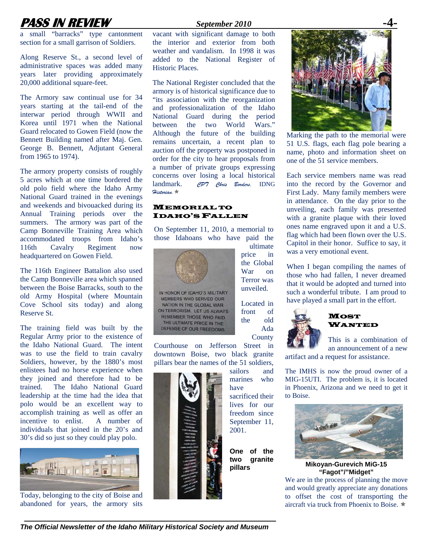## **PASS IN REVIEW** *September 2010*

a small "barracks" type cantonment section for a small garrison of Soldiers.

Along Reserve St., a second level of administrative spaces was added many years later providing approximately 20,000 additional square-feet.

The Armory saw continual use for 34 years starting at the tail-end of the interwar period through WWII and Korea until 1971 when the National Guard relocated to Gowen Field (now the Bennett Building named after Maj. Gen. George B. Bennett, Adjutant General from 1965 to 1974).

The armory property consists of roughly 5 acres which at one time bordered the old polo field where the Idaho Army National Guard trained in the evenings and weekends and bivouacked during its Annual Training periods over the summers. The armory was part of the Camp Bonneville Training Area which accommodated troops from Idaho's 116th Cavalry Regiment now headquartered on Gowen Field.

The 116th Engineer Battalion also used the Camp Bonneville area which spanned between the Boise Barracks, south to the old Army Hospital (where Mountain Cove School sits today) and along Reserve St.

The training field was built by the Regular Army prior to the existence of the Idaho National Guard. The intent was to use the field to train cavalry Soldiers, however, by the 1880's most enlistees had no horse experience when they joined and therefore had to be trained. The Idaho National Guard leadership at the time had the idea that polo would be an excellent way to accomplish training as well as offer an incentive to enlist. A number of individuals that joined in the 20's and 30's did so just so they could play polo.



Today, belonging to the city of Boise and abandoned for years, the armory sits

vacant with significant damage to both the interior and exterior from both weather and vandalism. In 1998 it was added to the National Register of Historic Places.

The National Register concluded that the armory is of historical significance due to "its association with the reorganization and professionalization of the Idaho National Guard during the period between the two World Wars." Although the future of the building remains uncertain, a recent plan to auction off the property was postponed in order for the city to hear proposals from a number of private groups expressing concerns over losing a local historical landmark. *CPT Chris Borders,* IDNG *Historian.*Õ

#### **MEMORIAL TO** IDAHO'S FALLEN

On September 11, 2010, a memorial to those Idahoans who have paid the

> ultimate price in the Global War on Terror was unveiled.

Located in front of the old Ada County



NATION IN THE GLOBAL WAR ON TERRORISM. LET US ALWAYS REMEMBER THOSE WHO PAID THE ULTIMATE PRICE IN THE DEFENSE OF OUR FREEDOMS.

Courthouse on Jefferson Street in downtown Boise, two black granite pillars bear the names of the 51 soldiers,

> sailors and marines who have sacrificed their lives for our freedom since September 11. 2001. **One of the two granite pillars**



Marking the path to the memorial were 51 U.S. flags, each flag pole bearing a name, photo and information sheet on one of the 51 service members.

Each service members name was read into the record by the Governor and First Lady. Many family members were in attendance. On the day prior to the unveiling, each family was presented with a granite plaque with their loved ones name engraved upon it and a U.S. flag which had been flown over the U.S. Capitol in their honor. Suffice to say, it was a very emotional event.

When I began compiling the names of those who had fallen, I never dreamed that it would be adopted and turned into such a wonderful tribute. I am proud to have played a small part in the effort.



#### **MOST** WANTED

This is a combination of an announcement of a new

artifact and a request for assistance.

The IMHS is now the proud owner of a MIG-15UTI. The problem is, it is located in Phoenix, Arizona and we need to get it to Boise.



**Mikoyan-Gurevich MiG-15 "Fagot"/"Midget"**

We are in the process of planning the move and would greatly appreciate any donations to offset the cost of transporting the aircraft via truck from Phoenix to Boise.  $\star$ 

*The Official Newsletter of the Idaho Military Historical Society and Museum*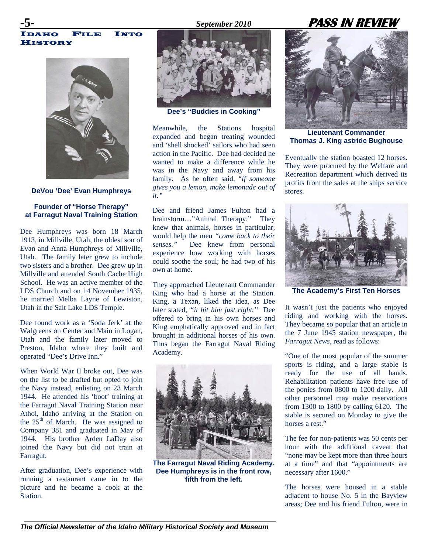### **-5-** *September 2010* **PASS IN REVIEW**

IDAHO FILE INTO HISTORY



**DeVou 'Dee' Evan Humphreys** 

#### **Founder of "Horse Therapy" at Farragut Naval Training Station**

Dee Humphreys was born 18 March 1913, in Millville, Utah, the oldest son of Evan and Anna Humphreys of Millville, Utah. The family later grew to include two sisters and a brother. Dee grew up in Millville and attended South Cache High School. He was an active member of the LDS Church and on 14 November 1935, he married Melba Layne of Lewiston, Utah in the Salt Lake LDS Temple.

Dee found work as a 'Soda Jerk' at the Walgreens on Center and Main in Logan, Utah and the family later moved to Preston, Idaho where they built and operated "Dee's Drive Inn."

When World War II broke out, Dee was on the list to be drafted but opted to join the Navy instead, enlisting on 23 March 1944. He attended his 'boot' training at the Farragut Naval Training Station near Athol, Idaho arriving at the Station on the  $25<sup>th</sup>$  of March. He was assigned to Company 381 and graduated in May of 1944. His brother Arden LaDay also joined the Navy but did not train at Farragut.

After graduation, Dee's experience with running a restaurant came in to the picture and he became a cook at the Station.



**Dee's "Buddies in Cooking"** 

Meanwhile, the Stations hospital expanded and began treating wounded and 'shell shocked' sailors who had seen action in the Pacific. Dee had decided he wanted to make a difference while he was in the Navy and away from his family. As he often said, "*if someone gives you a lemon, make lemonade out of it."*

Dee and friend James Fulton had a brainstorm…"Animal Therapy." They knew that animals, horses in particular, would help the men *"come back to their senses."* Dee knew from personal experience how working with horses could soothe the soul; he had two of his own at home.

They approached Lieutenant Commander King who had a horse at the Station. King, a Texan, liked the idea, as Dee later stated, *"it hit him just right."* Dee offered to bring in his own horses and King emphatically approved and in fact brought in additional horses of his own. Thus began the Farragut Naval Riding Academy.



**The Farragut Naval Riding Academy. Dee Humphreys is in the front row, fifth from the left.**



**Lieutenant Commander Thomas J. King astride Bughouse** 

Eventually the station boasted 12 horses. They were procured by the Welfare and Recreation department which derived its profits from the sales at the ships service stores.



**The Academy's First Ten Horses** 

It wasn't just the patients who enjoyed riding and working with the horses. They became so popular that an article in the 7 June 1945 station newspaper, the *Farragut News*, read as follows:

"One of the most popular of the summer sports is riding, and a large stable is ready for the use of all hands. Rehabilitation patients have free use of the ponies from 0800 to 1200 daily. All other personnel may make reservations from 1300 to 1800 by calling 6120. The stable is secured on Monday to give the horses a rest."

The fee for non-patients was 50 cents per hour with the additional caveat that "none may be kept more than three hours at a time" and that "appointments are necessary after 1600."

The horses were housed in a stable adjacent to house No. 5 in the Bayview areas; Dee and his friend Fulton, were in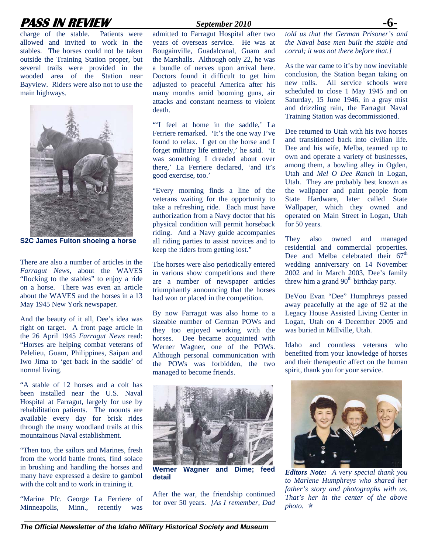## **PASS IN REVIEW** *September 2010* **-6-**

charge of the stable. Patients were allowed and invited to work in the stables. The horses could not be taken outside the Training Station proper, but several trails were provided in the wooded area of the Station near Bayview. Riders were also not to use the main highways.



**S2C James Fulton shoeing a horse** 

There are also a number of articles in the *Farragut News*, about the WAVES "flocking to the stables" to enjoy a ride on a horse. There was even an article about the WAVES and the horses in a 13 May 1945 New York newspaper.

And the beauty of it all, Dee's idea was right on target. A front page article in the 26 April 1945 *Farragut News* read: "Horses are helping combat veterans of Pelelieu, Guam, Philippines, Saipan and Iwo Jima to 'get back in the saddle' of normal living.

"A stable of 12 horses and a colt has been installed near the U.S. Naval Hospital at Farragut, largely for use by rehabilitation patients. The mounts are available every day for brisk rides through the many woodland trails at this mountainous Naval establishment.

"Then too, the sailors and Marines, fresh from the world battle fronts, find solace in brushing and handling the horses and many have expressed a desire to gambol with the colt and to work in training it.

"Marine Pfc. George La Ferriere of Minneapolis, Minn., recently was

admitted to Farragut Hospital after two years of overseas service. He was at Bougainville, Guadalcanal, Guam and the Marshalls. Although only 22, he was a bundle of nerves upon arrival here. Doctors found it difficult to get him adjusted to peaceful America after his many months amid booming guns, air attacks and constant nearness to violent death.

"'I feel at home in the saddle,' La Ferriere remarked. 'It's the one way I've found to relax. I get on the horse and I forget military life entirely,' he said. 'It was something I dreaded about over there,' La Ferriere declared, 'and it's good exercise, too.'

"Every morning finds a line of the veterans waiting for the opportunity to take a refreshing ride. Each must have authorization from a Navy doctor that his physical condition will permit horseback riding. And a Navy guide accompanies all riding parties to assist novices and to keep the riders from getting lost."

The horses were also periodically entered in various show competitions and there are a number of newspaper articles triumphantly announcing that the horses had won or placed in the competition.

By now Farragut was also home to a sizeable number of German POWs and they too enjoyed working with the horses. Dee became acquainted with Werner Wagner, one of the POWs. Although personal communication with the POWs was forbidden, the two managed to become friends.



**Werner Wagner and Dime; feed detail** 

After the war, the friendship continued for over 50 years. *[As I remember, Dad*  *told us that the German Prisoner's and the Naval base men built the stable and corral; it was not there before that.]* 

As the war came to it's by now inevitable conclusion, the Station began taking on new rolls. All service schools were scheduled to close 1 May 1945 and on Saturday, 15 June 1946, in a gray mist and drizzling rain, the Farragut Naval Training Station was decommissioned.

Dee returned to Utah with his two horses and transitioned back into civilian life. Dee and his wife, Melba, teamed up to own and operate a variety of businesses, among them, a bowling alley in Ogden, Utah and *Mel O Dee Ranch* in Logan, Utah. They are probably best known as the wallpaper and paint people from State Hardware, later called State Wallpaper, which they owned and operated on Main Street in Logan, Utah for 50 years.

They also owned and managed residential and commercial properties. Dee and Melba celebrated their  $67<sup>th</sup>$ wedding anniversary on 14 November 2002 and in March 2003, Dee's family threw him a grand  $90<sup>th</sup>$  birthday party.

DeVou Evan "Dee" Humphreys passed away peacefully at the age of 92 at the Legacy House Assisted Living Center in Logan, Utah on 4 December 2005 and was buried in Millville, Utah.

Idaho and countless veterans who benefited from your knowledge of horses and their therapeutic affect on the human spirit, thank you for your service.



*Editors Note: A very special thank you to Marlene Humphreys who shared her father's story and photographs with us. That's her in the center of the above*   $photo.$  $\star$ 

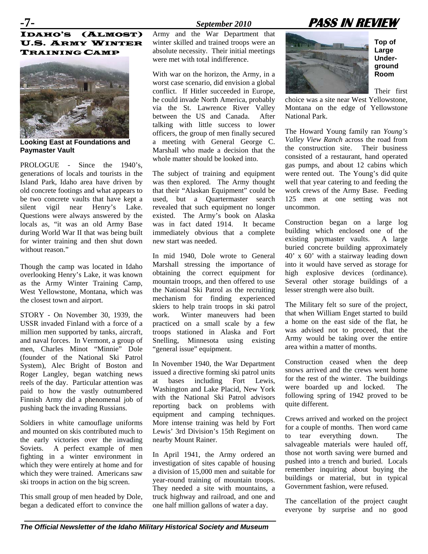## **-7-** *September 2010* **PASS IN REVIEW**

#### IDAHO'S (ALMOST) U.S. ARMY WINTER TRAINING CAMP



**Looking East at Foundations and Paymaster Vault** 

PROLOGUE - Since the 1940's generations of locals and tourists in the Island Park, Idaho area have driven by old concrete footings and what appears to be two concrete vaults that have kept a silent vigil near Henry's Lake. Questions were always answered by the locals as, "it was an old Army Base during World War II that was being built for winter training and then shut down without reason"

Though the camp was located in Idaho overlooking Henry's Lake, it was known as the Army Winter Training Camp, West Yellowstone, Montana, which was the closest town and airport.

STORY - On November 30, 1939, the USSR invaded Finland with a force of a million men supported by tanks, aircraft, and naval forces. In Vermont, a group of men, Charles Minot "Minnie" Dole (founder of the National Ski Patrol System), Alec Bright of Boston and Roger Langley, began watching news reels of the day. Particular attention was paid to how the vastly outnumbered Finnish Army did a phenomenal job of pushing back the invading Russians.

Soldiers in white camouflage uniforms and mounted on skis contributed much to the early victories over the invading Soviets. A perfect example of men fighting in a winter environment in which they were entirely at home and for which they were trained. Americans saw ski troops in action on the big screen.

This small group of men headed by Dole, began a dedicated effort to convince the Army and the War Department that winter skilled and trained troops were an absolute necessity. Their initial meetings were met with total indifference.

With war on the horizon, the Army, in a worst case scenario, did envision a global conflict. If Hitler succeeded in Europe, he could invade North America, probably via the St. Lawrence River Valley between the US and Canada. After talking with little success to lower officers, the group of men finally secured a meeting with General George C. Marshall who made a decision that the whole matter should be looked into.

The subject of training and equipment was then explored. The Army thought that their "Alaskan Equipment" could be used, but a Quartermaster search revealed that such equipment no longer existed. The Army's book on Alaska was in fact dated 1914. It became immediately obvious that a complete new start was needed.

In mid 1940, Dole wrote to General Marshall stressing the importance of obtaining the correct equipment for mountain troops, and then offered to use the National Ski Patrol as the recruiting mechanism for finding experienced skiers to help train troops in ski patrol work. Winter maneuvers had been practiced on a small scale by a few troops stationed in Alaska and Fort Snelling, Minnesota using existing "general issue" equipment.

In November 1940, the War Department issued a directive forming ski patrol units at bases including Fort Lewis, Washington and Lake Placid, New York with the National Ski Patrol advisors reporting back on problems with equipment and camping techniques. More intense training was held by Fort Lewis' 3rd Division's 15th Regiment on nearby Mount Rainer.

In April 1941, the Army ordered an investigation of sites capable of housing a division of 15,000 men and suitable for year-round training of mountain troops. They needed a site with mountains, a truck highway and railroad, and one and one half million gallons of water a day.



**Top of Large Underground Room** 

Their first

choice was a site near West Yellowstone, Montana on the edge of Yellowstone National Park.

The Howard Young family ran *Young's Valley View Ranch* across the road from the construction site. Their business consisted of a restaurant, hand operated gas pumps, and about 12 cabins which were rented out. The Young's did quite well that year catering to and feeding the work crews of the Army Base. Feeding 125 men at one setting was not uncommon.

Construction began on a large log building which enclosed one of the existing paymaster vaults. A large buried concrete building approximately 40' x 60' with a stairway leading down into it would have served as storage for high explosive devices (ordinance). Several other storage buildings of a lesser strength were also built.

The Military felt so sure of the project, that when William Enget started to build a home on the east side of the flat, he was advised not to proceed, that the Army would be taking over the entire area within a matter of months.

Construction ceased when the deep snows arrived and the crews went home for the rest of the winter. The buildings were boarded up and locked. The following spring of 1942 proved to be quite different.

Crews arrived and worked on the project for a couple of months. Then word came to tear everything down. The salvageable materials were hauled off, those not worth saving were burned and pushed into a trench and buried. Locals remember inquiring about buying the buildings or material, but in typical Government fashion, were refused.

The cancellation of the project caught everyone by surprise and no good